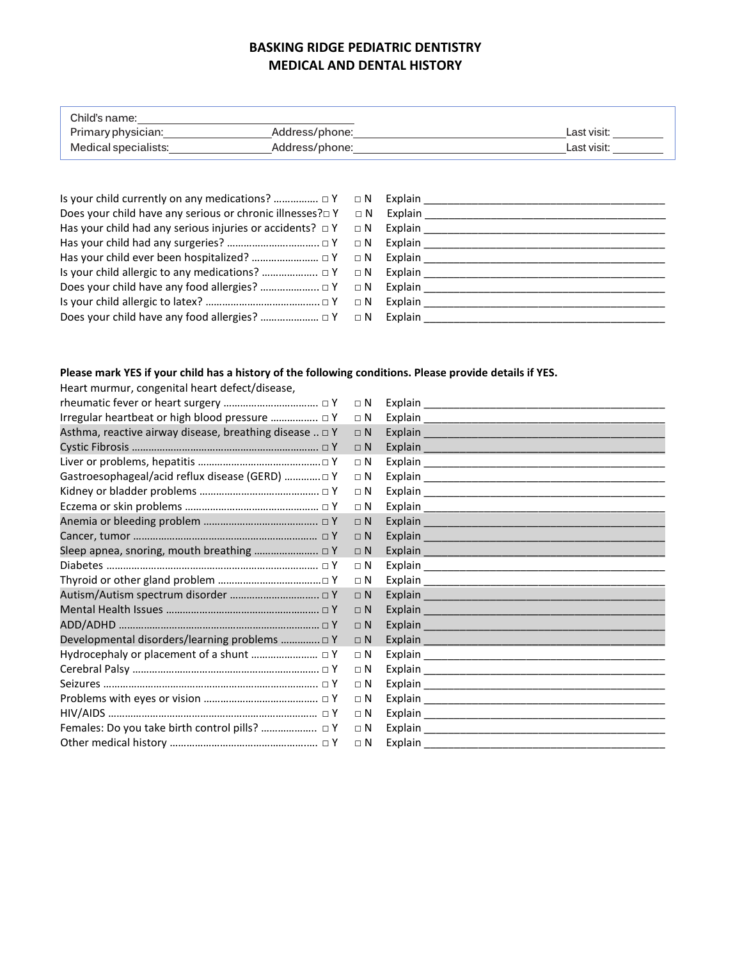## **BASKING RIDGE PEDIATRIC DENTISTRY MEDICAL AND DENTAL HISTORY**

| Child's name:        |                |             |
|----------------------|----------------|-------------|
| Primary physician:   | Address/phone: | Last visit: |
| Medical specialists: | Address/phone: | Last visit: |

| Does your child have any serious or chronic illnesses? $\square Y \square N$ Explain |
|--------------------------------------------------------------------------------------|
| Has your child had any serious injuries or accidents? $\Box Y$ $\Box N$ Explain      |
|                                                                                      |
|                                                                                      |
|                                                                                      |
|                                                                                      |
|                                                                                      |
|                                                                                      |
|                                                                                      |

## **Please mark YES if your child has a history of the following conditions. Please provide details if YES.**

Heart murmur, congenital heart defect/disease,

|                                                             | $\Box$ N   | Explain                |
|-------------------------------------------------------------|------------|------------------------|
| Irregular heartbeat or high blood pressure  DY              | $\Box$ N   |                        |
| Asthma, reactive airway disease, breathing disease $\Box$ Y | $\Box$ N   |                        |
|                                                             | $\Box$ N   |                        |
|                                                             | $\Box$ N   |                        |
| Gastroesophageal/acid reflux disease (GERD)  □ Y            | $\Box$ N   |                        |
|                                                             | $\Box$ N   |                        |
|                                                             | $\Box$ N   |                        |
|                                                             | $\Box$ N   |                        |
|                                                             | $\sqcap N$ |                        |
|                                                             | $\Box$ N   | <b>Explain Explain</b> |
|                                                             | $\sqcap N$ |                        |
|                                                             | $\Box$ N   |                        |
|                                                             | $\Box$ N   |                        |
|                                                             | $\Box$ N   |                        |
|                                                             | $\Box$ N   |                        |
| Developmental disorders/learning problems  □ Y              | $\Box$ N   |                        |
|                                                             | $\Box$ N   |                        |
|                                                             | $\Box$ N   |                        |
|                                                             | $\Box$ N   |                        |
|                                                             | $\Box$ N   |                        |
|                                                             | $\Box$ N   |                        |
|                                                             | $\sqcap N$ |                        |
|                                                             | $\Box$ N   |                        |